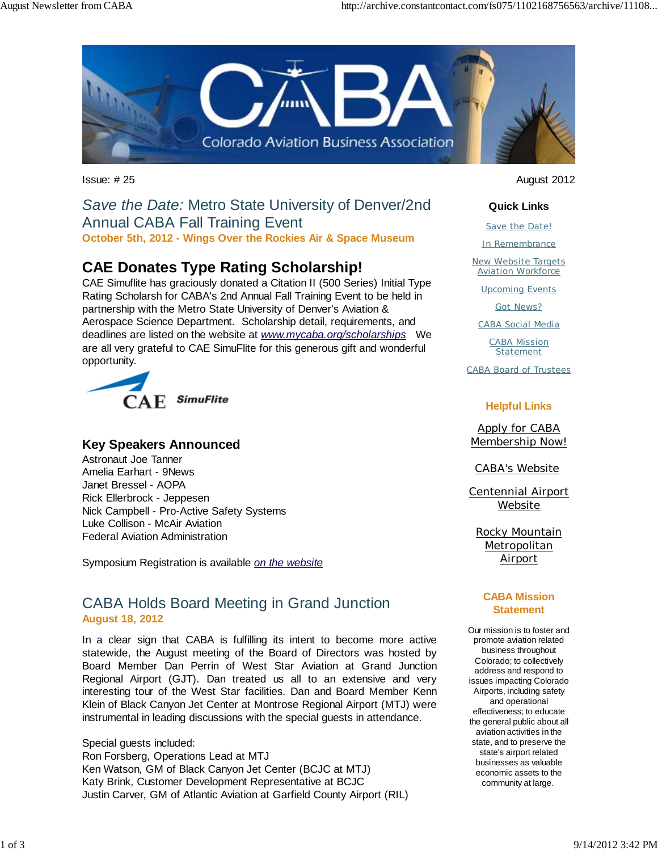

*Save the Date:* Metro State University of Denver/2nd Annual CABA Fall Training Event **October 5th, 2012 - Wings Over the Rockies Air & Space Museum** 

# **CAE Donates Type Rating Scholarship!**

CAE Simuflite has graciously donated a Citation II (500 Series) Initial Type Rating Scholarsh for CABA's 2nd Annual Fall Training Event to be held in partnership with the Metro State University of Denver's Aviation & Aerospace Science Department. Scholarship detail, requirements, and deadlines are listed on the website at *www.mycaba.org/scholarships* We are all very grateful to CAE SimuFlite for this generous gift and wonderful opportunity.



### **Key Speakers Announced**

Astronaut Joe Tanner Amelia Earhart - 9News Janet Bressel - AOPA Rick Ellerbrock - Jeppesen Nick Campbell - Pro-Active Safety Systems Luke Collison - McAir Aviation Federal Aviation Administration

Symposium Registration is available *on the website*

## CABA Holds Board Meeting in Grand Junction **August 18, 2012**

In a clear sign that CABA is fulfilling its intent to become more active statewide, the August meeting of the Board of Directors was hosted by Board Member Dan Perrin of West Star Aviation at Grand Junction Regional Airport (GJT). Dan treated us all to an extensive and very interesting tour of the West Star facilities. Dan and Board Member Kenn Klein of Black Canyon Jet Center at Montrose Regional Airport (MTJ) were instrumental in leading discussions with the special guests in attendance.

Special guests included: Ron Forsberg, Operations Lead at MTJ Ken Watson, GM of Black Canyon Jet Center (BCJC at MTJ) Katy Brink, Customer Development Representative at BCJC Justin Carver, GM of Atlantic Aviation at Garfield County Airport (RIL)

Issue: # 25 August 2012

#### **Quick Links**

Save the Date!

In Remembrance

New Website Targets Aviation Workforce

Upcoming Events

Got News?

CABA Social Media

CABA Mission Statement

CABA Board of Trustees

#### **Helpful Links**

Apply for CABA Membership Now!

CABA's Website

Centennial Airport Website

Rocky Mountain **Metropolitan** Airport

#### **CABA Mission Statement**

Our mission is to foster and promote aviation related business throughout Colorado; to collectively address and respond to issues impacting Colorado Airports, including safety and operational effectiveness; to educate the general public about all aviation activities in the state, and to preserve the state's airport related businesses as valuable economic assets to the community at large.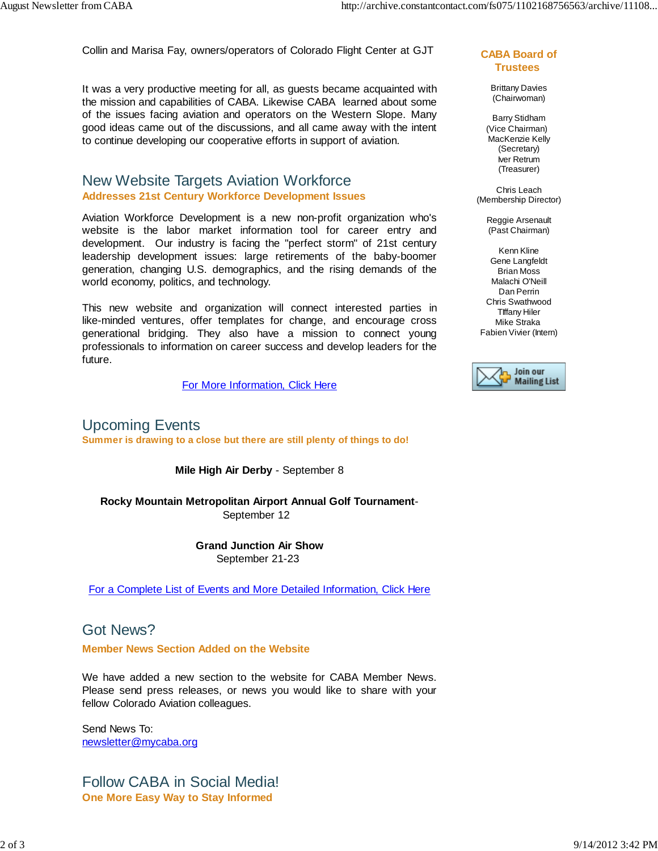Collin and Marisa Fay, owners/operators of Colorado Flight Center at GJT

It was a very productive meeting for all, as guests became acquainted with the mission and capabilities of CABA. Likewise CABA learned about some of the issues facing aviation and operators on the Western Slope. Many good ideas came out of the discussions, and all came away with the intent to continue developing our cooperative efforts in support of aviation.

### New Website Targets Aviation Workforce **Addresses 21st Century Workforce Development Issues**

Aviation Workforce Development is a new non-profit organization who's website is the labor market information tool for career entry and development. Our industry is facing the "perfect storm" of 21st century leadership development issues: large retirements of the baby-boomer generation, changing U.S. demographics, and the rising demands of the world economy, politics, and technology.

This new website and organization will connect interested parties in like-minded ventures, offer templates for change, and encourage cross generational bridging. They also have a mission to connect young professionals to information on career success and develop leaders for the future.

For More Information, Click Here

## Upcoming Events

**Summer is drawing to a close but there are still plenty of things to do!**

**Mile High Air Derby** - September 8

**Rocky Mountain Metropolitan Airport Annual Golf Tournament**- September 12

> **Grand Junction Air Show** September 21-23

For a Complete List of Events and More Detailed Information, Click Here

### Got News?

**Member News Section Added on the Website**

We have added a new section to the website for CABA Member News. Please send press releases, or news you would like to share with your fellow Colorado Aviation colleagues.

Send News To: newsletter@mycaba.org

Follow CABA in Social Media! **One More Easy Way to Stay Informed**

#### **CABA Board of Trustees**

Brittany Davies (Chairwoman)

Barry Stidham (Vice Chairman) MacKenzie Kelly (Secretary) Iver Retrum (Treasurer)

Chris Leach (Membership Director)

> Reggie Arsenault (Past Chairman)

Kenn Kline Gene Langfeldt Brian Moss Malachi O'Neill Dan Perrin Chris Swathwood TIffany Hiler Mike Straka Fabien Vivier (Intern)